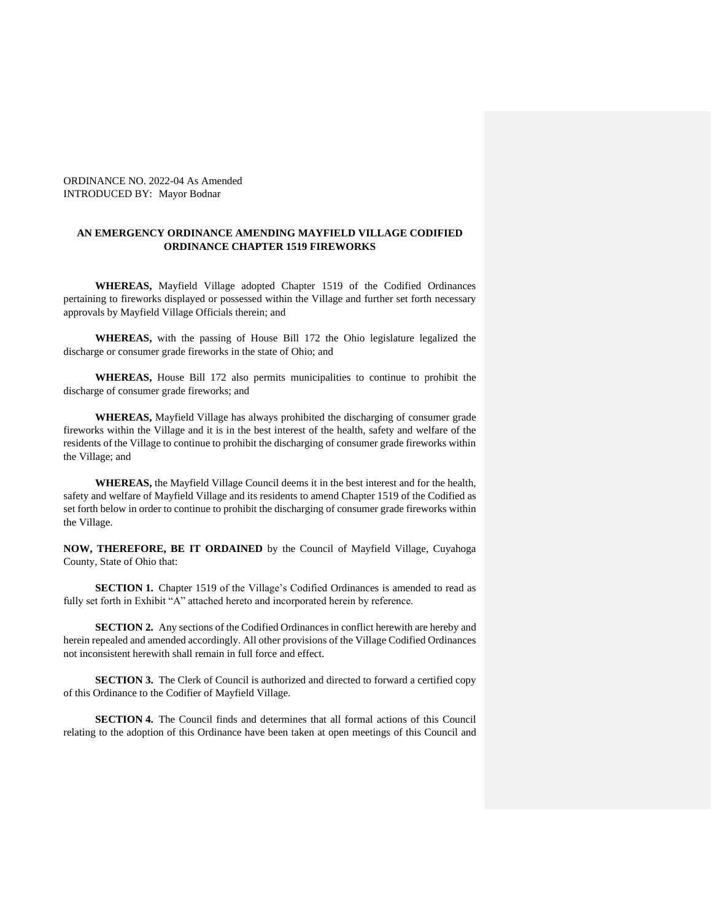ORDINANCE NO. 2022-04 As Amended INTRODUCED BY: Mayor Bodnar

## **AN EMERGENCY ORDINANCE AMENDING MAYFIELD VILLAGE CODIFIED ORDINANCE CHAPTER 1519 FIREWORKS**

**WHEREAS,** Mayfield Village adopted Chapter 1519 of the Codified Ordinances pertaining to fireworks displayed or possessed within the Village and further set forth necessary approvals by Mayfield Village Officials therein; and

**WHEREAS,** with the passing of House Bill 172 the Ohio legislature legalized the discharge or consumer grade fireworks in the state of Ohio; and

**WHEREAS,** House Bill 172 also permits municipalities to continue to prohibit the discharge of consumer grade fireworks; and

**WHEREAS,** Mayfield Village has always prohibited the discharging of consumer grade fireworks within the Village and it is in the best interest of the health, safety and welfare of the residents of the Village to continue to prohibit the discharging of consumer grade fireworks within the Village; and

**WHEREAS,** the Mayfield Village Council deems it in the best interest and for the health, safety and welfare of Mayfield Village and its residents to amend Chapter 1519 of the Codified as set forth below in order to continue to prohibit the discharging of consumer grade fireworks within the Village.

**NOW, THEREFORE, BE IT ORDAINED** by the Council of Mayfield Village, Cuyahoga County, State of Ohio that:

**SECTION 1.** Chapter 1519 of the Village's Codified Ordinances is amended to read as fully set forth in Exhibit "A" attached hereto and incorporated herein by reference.

**SECTION 2.** Any sections of the Codified Ordinances in conflict herewith are hereby and herein repealed and amended accordingly. All other provisions of the Village Codified Ordinances not inconsistent herewith shall remain in full force and effect.

**SECTION 3.** The Clerk of Council is authorized and directed to forward a certified copy of this Ordinance to the Codifier of Mayfield Village.

**SECTION 4.** The Council finds and determines that all formal actions of this Council relating to the adoption of this Ordinance have been taken at open meetings of this Council and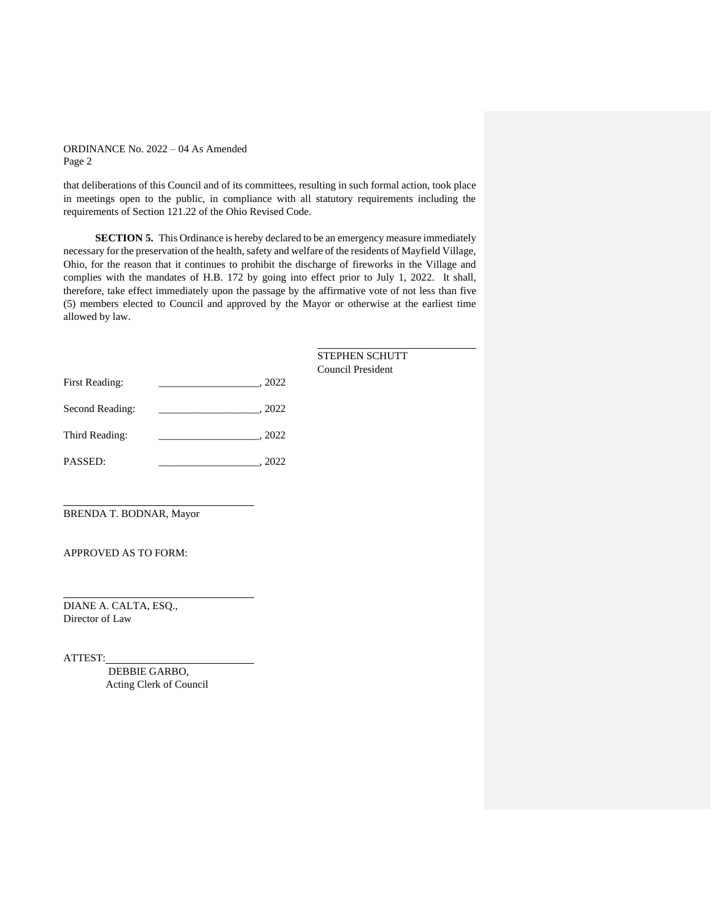that deliberations of this Council and of its committees, resulting in such formal action, took place in meetings open to the public, in compliance with all statutory requirements including the requirements of Section 121.22 of the Ohio Revised Code.

**SECTION 5.** This Ordinance is hereby declared to be an emergency measure immediately necessary for the preservation of the health, safety and welfare of the residents of Mayfield Village, Ohio, for the reason that it continues to prohibit the discharge of fireworks in the Village and complies with the mandates of H.B. 172 by going into effect prior to July 1, 2022. It shall, therefore, take effect immediately upon the passage by the affirmative vote of not less than five (5) members elected to Council and approved by the Mayor or otherwise at the earliest time allowed by law.

> STEPHEN SCHUTT Council President

| <b>First Reading:</b> | , 2022 |
|-----------------------|--------|
| Second Reading:       | , 2022 |
| Third Reading:        | .2022  |
| <b>PASSED:</b>        | , 2022 |
|                       |        |

BRENDA T. BODNAR, Mayor

#### APPROVED AS TO FORM:

DIANE A. CALTA, ESQ., Director of Law

ATTEST:

 DEBBIE GARBO, Acting Clerk of Council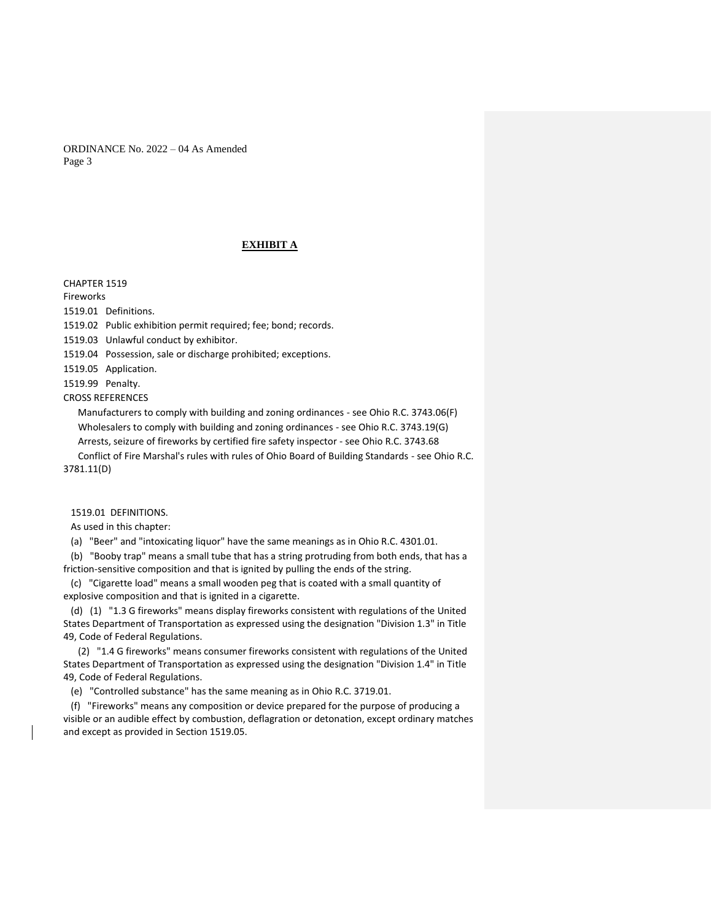# **EXHIBIT A**

CHAPTER 1519

Fireworks

1519.01 Definitions.

1519.02 Public exhibition permit required; fee; bond; records.

1519.03 Unlawful conduct by exhibitor.

1519.04 Possession, sale or discharge prohibited; exceptions.

1519.05 Application.

1519.99 Penalty.

CROSS REFERENCES

 Manufacturers to comply with building and zoning ordinances - see Ohio R.C. 3743.06(F) Wholesalers to comply with building and zoning ordinances - see Ohio R.C. 3743.19(G) Arrests, seizure of fireworks by certified fire safety inspector - see Ohio R.C. 3743.68 Conflict of Fire Marshal's rules with rules of Ohio Board of Building Standards - see Ohio R.C.

3781.11(D)

### 1519.01 DEFINITIONS.

As used in this chapter:

(a) "Beer" and "intoxicating liquor" have the same meanings as in Ohio R.C. 4301.01.

 (b) "Booby trap" means a small tube that has a string protruding from both ends, that has a friction-sensitive composition and that is ignited by pulling the ends of the string.

 (c) "Cigarette load" means a small wooden peg that is coated with a small quantity of explosive composition and that is ignited in a cigarette.

 (d) (1) "1.3 G fireworks" means display fireworks consistent with regulations of the United States Department of Transportation as expressed using the designation "Division 1.3" in Title 49, Code of Federal Regulations.

 (2) "1.4 G fireworks" means consumer fireworks consistent with regulations of the United States Department of Transportation as expressed using the designation "Division 1.4" in Title 49, Code of Federal Regulations.

(e) "Controlled substance" has the same meaning as in Ohio R.C. 3719.01.

 (f) "Fireworks" means any composition or device prepared for the purpose of producing a visible or an audible effect by combustion, deflagration or detonation, except ordinary matches and except as provided in Section 1519.05.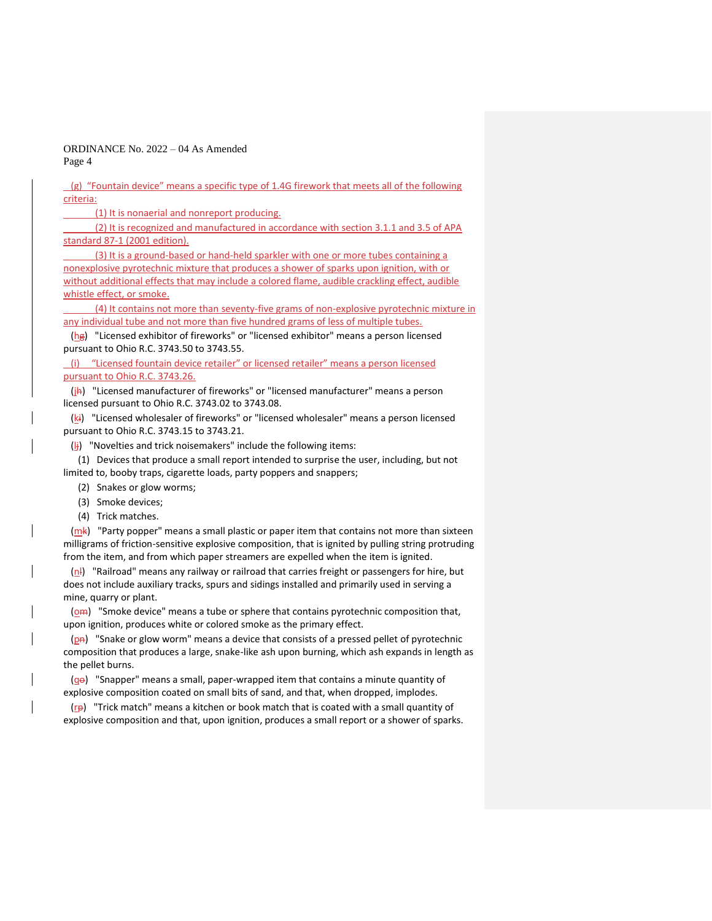(g) "Fountain device" means a specific type of 1.4G firework that meets all of the following criteria:

(1) It is nonaerial and nonreport producing.

(2) It is recognized and manufactured in accordance with section 3.1.1 and 3.5 of APA standard 87-1 (2001 edition).

(3) It is a ground-based or hand-held sparkler with one or more tubes containing a nonexplosive pyrotechnic mixture that produces a shower of sparks upon ignition, with or without additional effects that may include a colored flame, audible crackling effect, audible whistle effect, or smoke.

(4) It contains not more than seventy-five grams of non-explosive pyrotechnic mixture in any individual tube and not more than five hundred grams of less of multiple tubes.

(hg) "Licensed exhibitor of fireworks" or "licensed exhibitor" means a person licensed pursuant to Ohio R.C. 3743.50 to 3743.55.

(i) "Licensed fountain device retailer" or licensed retailer" means a person licensed pursuant to Ohio R.C. 3743.26.

 $(i)$  "Licensed manufacturer of fireworks" or "licensed manufacturer" means a person licensed pursuant to Ohio R.C. 3743.02 to 3743.08.

(ki) "Licensed wholesaler of fireworks" or "licensed wholesaler" means a person licensed pursuant to Ohio R.C. 3743.15 to 3743.21.

 $\left(\frac{1}{2}\right)$  "Novelties and trick noisemakers" include the following items:

 (1) Devices that produce a small report intended to surprise the user, including, but not limited to, booby traps, cigarette loads, party poppers and snappers;

(2) Snakes or glow worms;

(3) Smoke devices;

(4) Trick matches.

 $(m<sub>k</sub>)$  "Party popper" means a small plastic or paper item that contains not more than sixteen milligrams of friction-sensitive explosive composition, that is ignited by pulling string protruding from the item, and from which paper streamers are expelled when the item is ignited.

 $(n)$  "Railroad" means any railway or railroad that carries freight or passengers for hire, but does not include auxiliary tracks, spurs and sidings installed and primarily used in serving a mine, quarry or plant.

 $(0, \theta)$  "Smoke device" means a tube or sphere that contains pyrotechnic composition that, upon ignition, produces white or colored smoke as the primary effect.

 $(p_{\rm H})$  "Snake or glow worm" means a device that consists of a pressed pellet of pyrotechnic composition that produces a large, snake-like ash upon burning, which ash expands in length as the pellet burns.

 $(qe)$  "Snapper" means a small, paper-wrapped item that contains a minute quantity of explosive composition coated on small bits of sand, and that, when dropped, implodes.

 $(r_{\theta})$  "Trick match" means a kitchen or book match that is coated with a small quantity of explosive composition and that, upon ignition, produces a small report or a shower of sparks.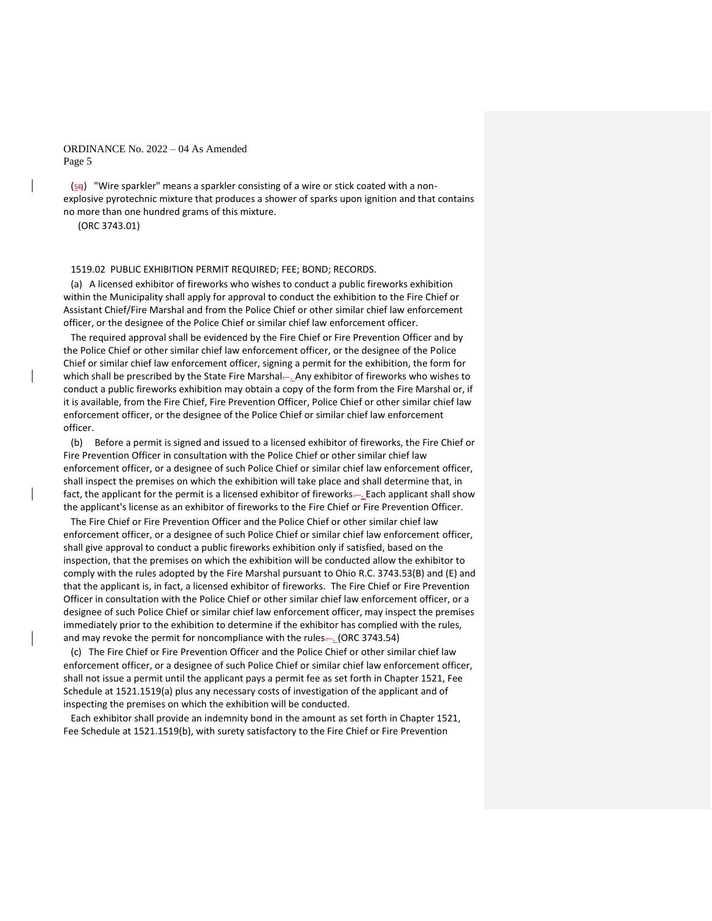$(s<sub>q</sub>)$  "Wire sparkler" means a sparkler consisting of a wire or stick coated with a nonexplosive pyrotechnic mixture that produces a shower of sparks upon ignition and that contains no more than one hundred grams of this mixture.

(ORC 3743.01)

#### 1519.02 PUBLIC EXHIBITION PERMIT REQUIRED; FEE; BOND; RECORDS.

 (a) A licensed exhibitor of fireworks who wishes to conduct a public fireworks exhibition within the Municipality shall apply for approval to conduct the exhibition to the Fire Chief or Assistant Chief/Fire Marshal and from the Police Chief or other similar chief law enforcement officer, or the designee of the Police Chief or similar chief law enforcement officer.

 The required approval shall be evidenced by the Fire Chief or Fire Prevention Officer and by the Police Chief or other similar chief law enforcement officer, or the designee of the Police Chief or similar chief law enforcement officer, signing a permit for the exhibition, the form for which shall be prescribed by the State Fire Marshal-. Any exhibitor of fireworks who wishes to conduct a public fireworks exhibition may obtain a copy of the form from the Fire Marshal or, if it is available, from the Fire Chief, Fire Prevention Officer, Police Chief or other similar chief law enforcement officer, or the designee of the Police Chief or similar chief law enforcement officer.

 (b) Before a permit is signed and issued to a licensed exhibitor of fireworks, the Fire Chief or Fire Prevention Officer in consultation with the Police Chief or other similar chief law enforcement officer, or a designee of such Police Chief or similar chief law enforcement officer, shall inspect the premises on which the exhibition will take place and shall determine that, in fact, the applicant for the permit is a licensed exhibitor of fireworks... Each applicant shall show the applicant's license as an exhibitor of fireworks to the Fire Chief or Fire Prevention Officer.

 The Fire Chief or Fire Prevention Officer and the Police Chief or other similar chief law enforcement officer, or a designee of such Police Chief or similar chief law enforcement officer, shall give approval to conduct a public fireworks exhibition only if satisfied, based on the inspection, that the premises on which the exhibition will be conducted allow the exhibitor to comply with the rules adopted by the Fire Marshal pursuant to Ohio R.C. 3743.53(B) and (E) and that the applicant is, in fact, a licensed exhibitor of fireworks. The Fire Chief or Fire Prevention Officer in consultation with the Police Chief or other similar chief law enforcement officer, or a designee of such Police Chief or similar chief law enforcement officer, may inspect the premises immediately prior to the exhibition to determine if the exhibitor has complied with the rules, and may revoke the permit for noncompliance with the rules $\frac{1}{2}$  (ORC 3743.54)

 (c) The Fire Chief or Fire Prevention Officer and the Police Chief or other similar chief law enforcement officer, or a designee of such Police Chief or similar chief law enforcement officer, shall not issue a permit until the applicant pays a permit fee as set forth in Chapter 1521, Fee Schedule at 1521.1519(a) plus any necessary costs of investigation of the applicant and of inspecting the premises on which the exhibition will be conducted.

 Each exhibitor shall provide an indemnity bond in the amount as set forth in Chapter 1521, Fee Schedule at 1521.1519(b), with surety satisfactory to the Fire Chief or Fire Prevention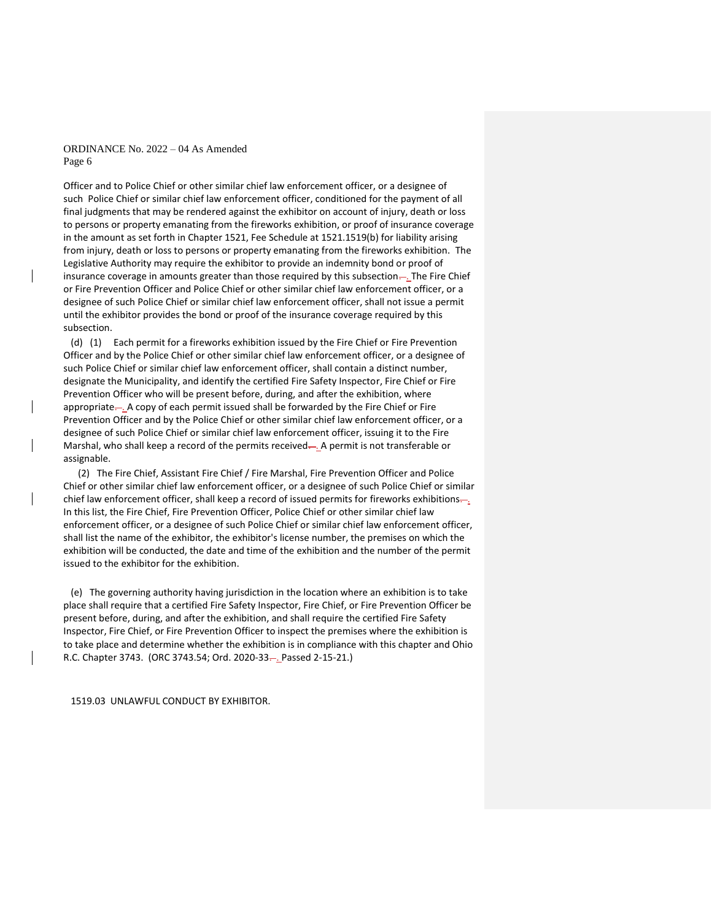Officer and to Police Chief or other similar chief law enforcement officer, or a designee of such Police Chief or similar chief law enforcement officer, conditioned for the payment of all final judgments that may be rendered against the exhibitor on account of injury, death or loss to persons or property emanating from the fireworks exhibition, or proof of insurance coverage in the amount as set forth in Chapter 1521, Fee Schedule at 1521.1519(b) for liability arising from injury, death or loss to persons or property emanating from the fireworks exhibition. The Legislative Authority may require the exhibitor to provide an indemnity bond or proof of insurance coverage in amounts greater than those required by this subsection... The Fire Chief or Fire Prevention Officer and Police Chief or other similar chief law enforcement officer, or a designee of such Police Chief or similar chief law enforcement officer, shall not issue a permit until the exhibitor provides the bond or proof of the insurance coverage required by this subsection.

 (d) (1) Each permit for a fireworks exhibition issued by the Fire Chief or Fire Prevention Officer and by the Police Chief or other similar chief law enforcement officer, or a designee of such Police Chief or similar chief law enforcement officer, shall contain a distinct number, designate the Municipality, and identify the certified Fire Safety Inspector, Fire Chief or Fire Prevention Officer who will be present before, during, and after the exhibition, where appropriate—. A copy of each permit issued shall be forwarded by the Fire Chief or Fire Prevention Officer and by the Police Chief or other similar chief law enforcement officer, or a designee of such Police Chief or similar chief law enforcement officer, issuing it to the Fire Marshal, who shall keep a record of the permits received—. A permit is not transferable or assignable.

 (2) The Fire Chief, Assistant Fire Chief / Fire Marshal, Fire Prevention Officer and Police Chief or other similar chief law enforcement officer, or a designee of such Police Chief or similar chief law enforcement officer, shall keep a record of issued permits for fireworks exhibitions. In this list, the Fire Chief, Fire Prevention Officer, Police Chief or other similar chief law enforcement officer, or a designee of such Police Chief or similar chief law enforcement officer, shall list the name of the exhibitor, the exhibitor's license number, the premises on which the exhibition will be conducted, the date and time of the exhibition and the number of the permit issued to the exhibitor for the exhibition.

 (e) The governing authority having jurisdiction in the location where an exhibition is to take place shall require that a certified Fire Safety Inspector, Fire Chief, or Fire Prevention Officer be present before, during, and after the exhibition, and shall require the certified Fire Safety Inspector, Fire Chief, or Fire Prevention Officer to inspect the premises where the exhibition is to take place and determine whether the exhibition is in compliance with this chapter and Ohio R.C. Chapter 3743. (ORC 3743.54; Ord. 2020-33-. Passed 2-15-21.)

1519.03 UNLAWFUL CONDUCT BY EXHIBITOR.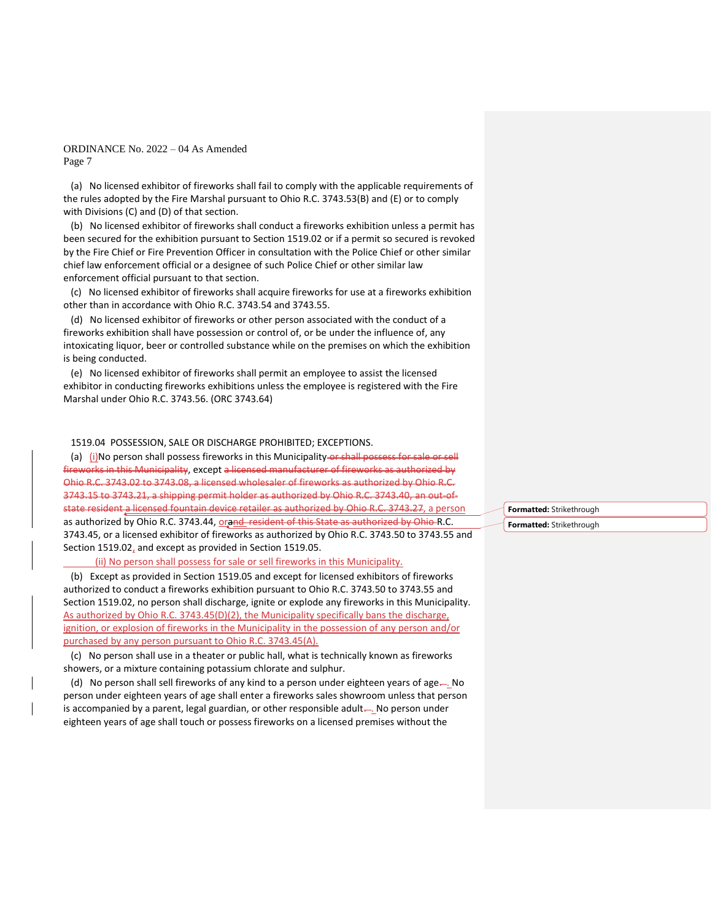(a) No licensed exhibitor of fireworks shall fail to comply with the applicable requirements of the rules adopted by the Fire Marshal pursuant to Ohio R.C. 3743.53(B) and (E) or to comply with Divisions (C) and (D) of that section.

 (b) No licensed exhibitor of fireworks shall conduct a fireworks exhibition unless a permit has been secured for the exhibition pursuant to Section 1519.02 or if a permit so secured is revoked by the Fire Chief or Fire Prevention Officer in consultation with the Police Chief or other similar chief law enforcement official or a designee of such Police Chief or other similar law enforcement official pursuant to that section.

 (c) No licensed exhibitor of fireworks shall acquire fireworks for use at a fireworks exhibition other than in accordance with Ohio R.C. 3743.54 and 3743.55.

 (d) No licensed exhibitor of fireworks or other person associated with the conduct of a fireworks exhibition shall have possession or control of, or be under the influence of, any intoxicating liquor, beer or controlled substance while on the premises on which the exhibition is being conducted.

 (e) No licensed exhibitor of fireworks shall permit an employee to assist the licensed exhibitor in conducting fireworks exhibitions unless the employee is registered with the Fire Marshal under Ohio R.C. 3743.56. (ORC 3743.64)

### 1519.04 POSSESSION, SALE OR DISCHARGE PROHIBITED; EXCEPTIONS.

(a) (i)No person shall possess fireworks in this Municipality or shall possess for sale or sell fireworks in this Municipality, except a licensed manufacturer of fireworks as authorized by Ohio R.C. 3743.02 to 3743.08, a licensed wholesaler of fireworks as authorized by Ohio R.C. 3743.15 to 3743.21, a shipping permit holder as authorized by Ohio R.C. 3743.40, an out-ofstate resident a licensed fountain device retailer as authorized by Ohio R.C. 3743.27, a person as authorized by Ohio R.C. 3743.44, orand resident of this State as authorized by Ohio R.C. 3743.45, or a licensed exhibitor of fireworks as authorized by Ohio R.C. 3743.50 to 3743.55 and Section 1519.02, and except as provided in Section 1519.05.

(ii) No person shall possess for sale or sell fireworks in this Municipality.

 (b) Except as provided in Section 1519.05 and except for licensed exhibitors of fireworks authorized to conduct a fireworks exhibition pursuant to Ohio R.C. 3743.50 to 3743.55 and Section 1519.02, no person shall discharge, ignite or explode any fireworks in this Municipality. As authorized by Ohio R.C. 3743.45(D)(2), the Municipality specifically bans the discharge, ignition, or explosion of fireworks in the Municipality in the possession of any person and/or purchased by any person pursuant to Ohio R.C. 3743.45(A).

 (c) No person shall use in a theater or public hall, what is technically known as fireworks showers, or a mixture containing potassium chlorate and sulphur.

(d) No person shall sell fireworks of any kind to a person under eighteen years of age $-.$  No person under eighteen years of age shall enter a fireworks sales showroom unless that person is accompanied by a parent, legal guardian, or other responsible adult... No person under eighteen years of age shall touch or possess fireworks on a licensed premises without the

**Formatted:** Strikethrough **Formatted:** Strikethrough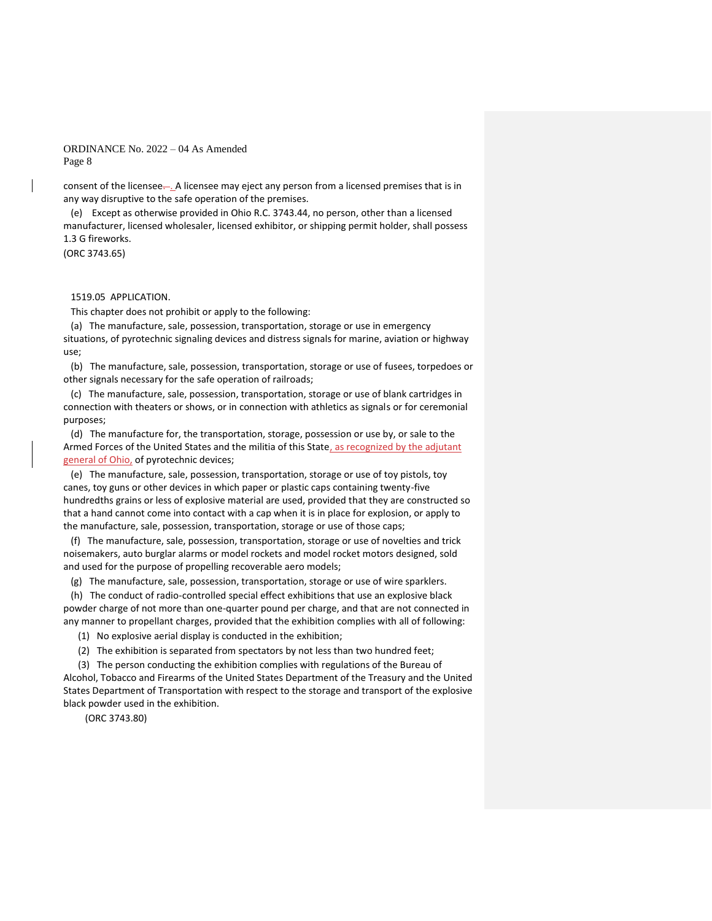consent of the licensee. . A licensee may eject any person from a licensed premises that is in any way disruptive to the safe operation of the premises.

 (e) Except as otherwise provided in Ohio R.C. 3743.44, no person, other than a licensed manufacturer, licensed wholesaler, licensed exhibitor, or shipping permit holder, shall possess 1.3 G fireworks.

(ORC 3743.65)

1519.05 APPLICATION.

This chapter does not prohibit or apply to the following:

 (a) The manufacture, sale, possession, transportation, storage or use in emergency situations, of pyrotechnic signaling devices and distress signals for marine, aviation or highway use;

 (b) The manufacture, sale, possession, transportation, storage or use of fusees, torpedoes or other signals necessary for the safe operation of railroads;

 (c) The manufacture, sale, possession, transportation, storage or use of blank cartridges in connection with theaters or shows, or in connection with athletics as signals or for ceremonial purposes;

 (d) The manufacture for, the transportation, storage, possession or use by, or sale to the Armed Forces of the United States and the militia of this State, as recognized by the adjutant general of Ohio, of pyrotechnic devices;

 (e) The manufacture, sale, possession, transportation, storage or use of toy pistols, toy canes, toy guns or other devices in which paper or plastic caps containing twenty-five hundredths grains or less of explosive material are used, provided that they are constructed so that a hand cannot come into contact with a cap when it is in place for explosion, or apply to the manufacture, sale, possession, transportation, storage or use of those caps;

 (f) The manufacture, sale, possession, transportation, storage or use of novelties and trick noisemakers, auto burglar alarms or model rockets and model rocket motors designed, sold and used for the purpose of propelling recoverable aero models;

(g) The manufacture, sale, possession, transportation, storage or use of wire sparklers.

 (h) The conduct of radio-controlled special effect exhibitions that use an explosive black powder charge of not more than one-quarter pound per charge, and that are not connected in any manner to propellant charges, provided that the exhibition complies with all of following:

(1) No explosive aerial display is conducted in the exhibition;

(2) The exhibition is separated from spectators by not less than two hundred feet;

(3) The person conducting the exhibition complies with regulations of the Bureau of

Alcohol, Tobacco and Firearms of the United States Department of the Treasury and the United States Department of Transportation with respect to the storage and transport of the explosive black powder used in the exhibition.

(ORC 3743.80)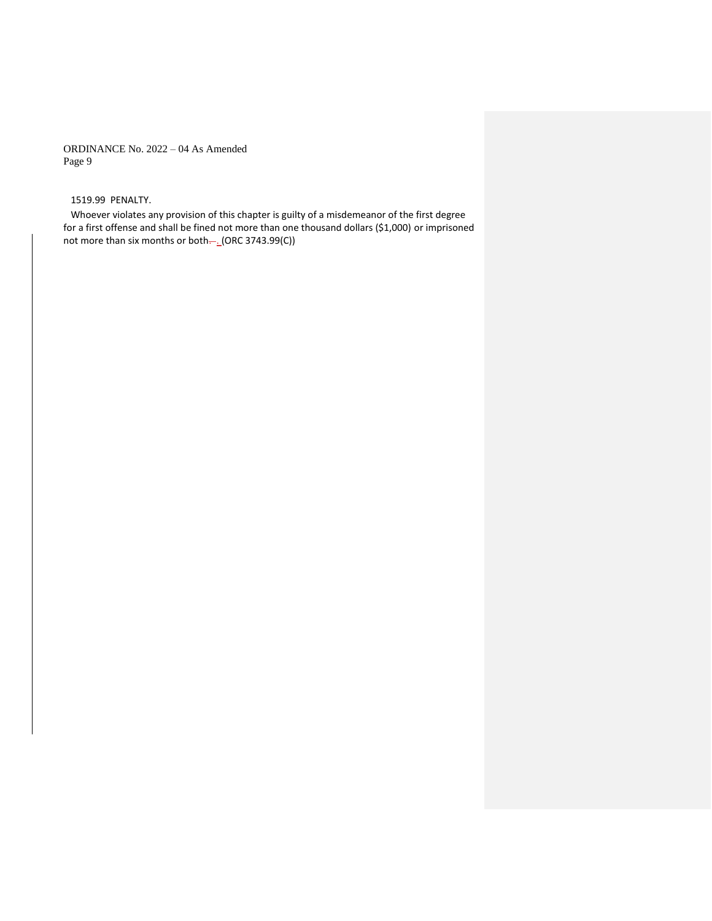# 1519.99 PENALTY.

 Whoever violates any provision of this chapter is guilty of a misdemeanor of the first degree for a first offense and shall be fined not more than one thousand dollars (\$1,000) or imprisoned not more than six months or both $_{--}$  (ORC 3743.99(C))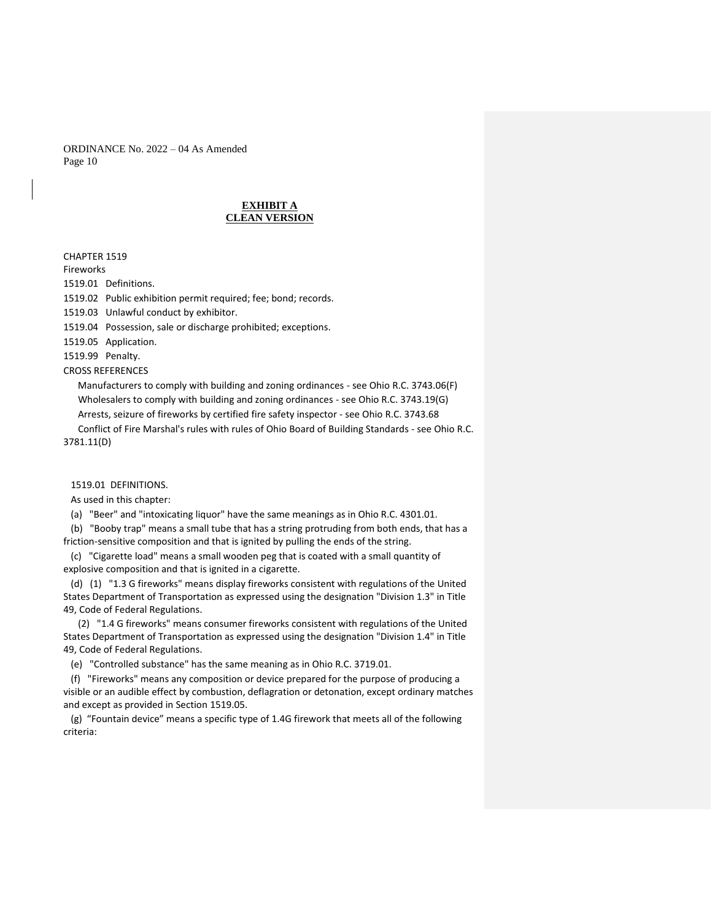# **EXHIBIT A CLEAN VERSION**

CHAPTER 1519

Fireworks

1519.01 Definitions.

1519.02 Public exhibition permit required; fee; bond; records.

1519.03 Unlawful conduct by exhibitor.

1519.04 Possession, sale or discharge prohibited; exceptions.

1519.05 Application.

1519.99 Penalty.

CROSS REFERENCES

 Manufacturers to comply with building and zoning ordinances - see Ohio R.C. 3743.06(F) Wholesalers to comply with building and zoning ordinances - see Ohio R.C. 3743.19(G) Arrests, seizure of fireworks by certified fire safety inspector - see Ohio R.C. 3743.68

 Conflict of Fire Marshal's rules with rules of Ohio Board of Building Standards - see Ohio R.C. 3781.11(D)

1519.01 DEFINITIONS.

As used in this chapter:

(a) "Beer" and "intoxicating liquor" have the same meanings as in Ohio R.C. 4301.01.

 (b) "Booby trap" means a small tube that has a string protruding from both ends, that has a friction-sensitive composition and that is ignited by pulling the ends of the string.

 (c) "Cigarette load" means a small wooden peg that is coated with a small quantity of explosive composition and that is ignited in a cigarette.

 (d) (1) "1.3 G fireworks" means display fireworks consistent with regulations of the United States Department of Transportation as expressed using the designation "Division 1.3" in Title 49, Code of Federal Regulations.

 (2) "1.4 G fireworks" means consumer fireworks consistent with regulations of the United States Department of Transportation as expressed using the designation "Division 1.4" in Title 49, Code of Federal Regulations.

(e) "Controlled substance" has the same meaning as in Ohio R.C. 3719.01.

 (f) "Fireworks" means any composition or device prepared for the purpose of producing a visible or an audible effect by combustion, deflagration or detonation, except ordinary matches and except as provided in Section 1519.05.

 (g) "Fountain device" means a specific type of 1.4G firework that meets all of the following criteria: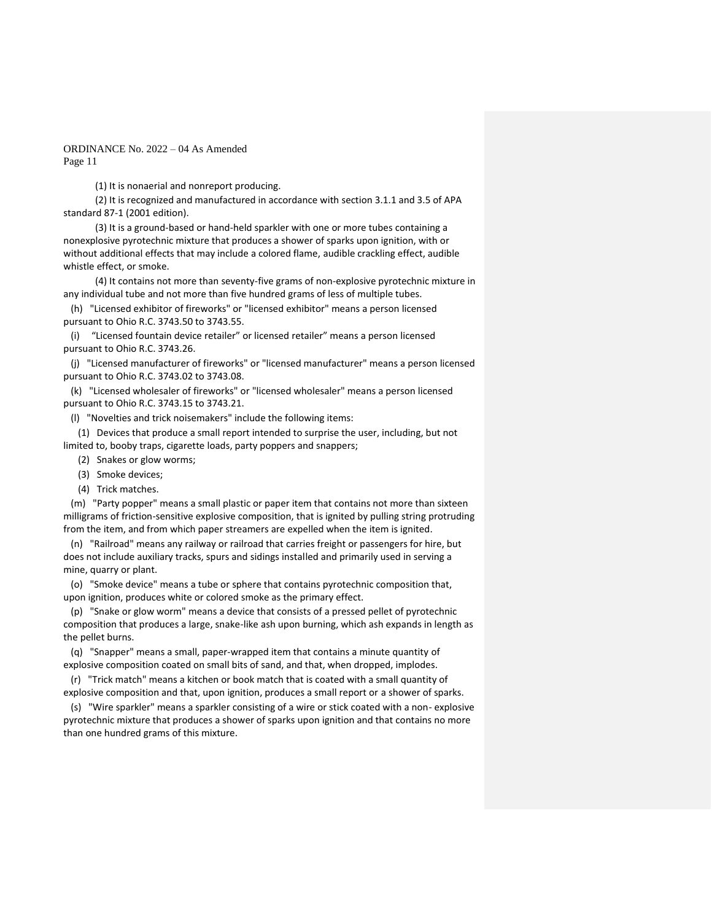(1) It is nonaerial and nonreport producing.

(2) It is recognized and manufactured in accordance with section 3.1.1 and 3.5 of APA standard 87-1 (2001 edition).

(3) It is a ground-based or hand-held sparkler with one or more tubes containing a nonexplosive pyrotechnic mixture that produces a shower of sparks upon ignition, with or without additional effects that may include a colored flame, audible crackling effect, audible whistle effect, or smoke.

(4) It contains not more than seventy-five grams of non-explosive pyrotechnic mixture in any individual tube and not more than five hundred grams of less of multiple tubes.

 (h) "Licensed exhibitor of fireworks" or "licensed exhibitor" means a person licensed pursuant to Ohio R.C. 3743.50 to 3743.55.

 (i) "Licensed fountain device retailer" or licensed retailer" means a person licensed pursuant to Ohio R.C. 3743.26.

 (j) "Licensed manufacturer of fireworks" or "licensed manufacturer" means a person licensed pursuant to Ohio R.C. 3743.02 to 3743.08.

 (k) "Licensed wholesaler of fireworks" or "licensed wholesaler" means a person licensed pursuant to Ohio R.C. 3743.15 to 3743.21.

(l) "Novelties and trick noisemakers" include the following items:

 (1) Devices that produce a small report intended to surprise the user, including, but not limited to, booby traps, cigarette loads, party poppers and snappers;

- (2) Snakes or glow worms;
- (3) Smoke devices;
- (4) Trick matches.

 (m) "Party popper" means a small plastic or paper item that contains not more than sixteen milligrams of friction-sensitive explosive composition, that is ignited by pulling string protruding from the item, and from which paper streamers are expelled when the item is ignited.

 (n) "Railroad" means any railway or railroad that carries freight or passengers for hire, but does not include auxiliary tracks, spurs and sidings installed and primarily used in serving a mine, quarry or plant.

 (o) "Smoke device" means a tube or sphere that contains pyrotechnic composition that, upon ignition, produces white or colored smoke as the primary effect.

 (p) "Snake or glow worm" means a device that consists of a pressed pellet of pyrotechnic composition that produces a large, snake-like ash upon burning, which ash expands in length as the pellet burns.

 (q) "Snapper" means a small, paper-wrapped item that contains a minute quantity of explosive composition coated on small bits of sand, and that, when dropped, implodes.

 (r) "Trick match" means a kitchen or book match that is coated with a small quantity of explosive composition and that, upon ignition, produces a small report or a shower of sparks.

 (s) "Wire sparkler" means a sparkler consisting of a wire or stick coated with a non- explosive pyrotechnic mixture that produces a shower of sparks upon ignition and that contains no more than one hundred grams of this mixture.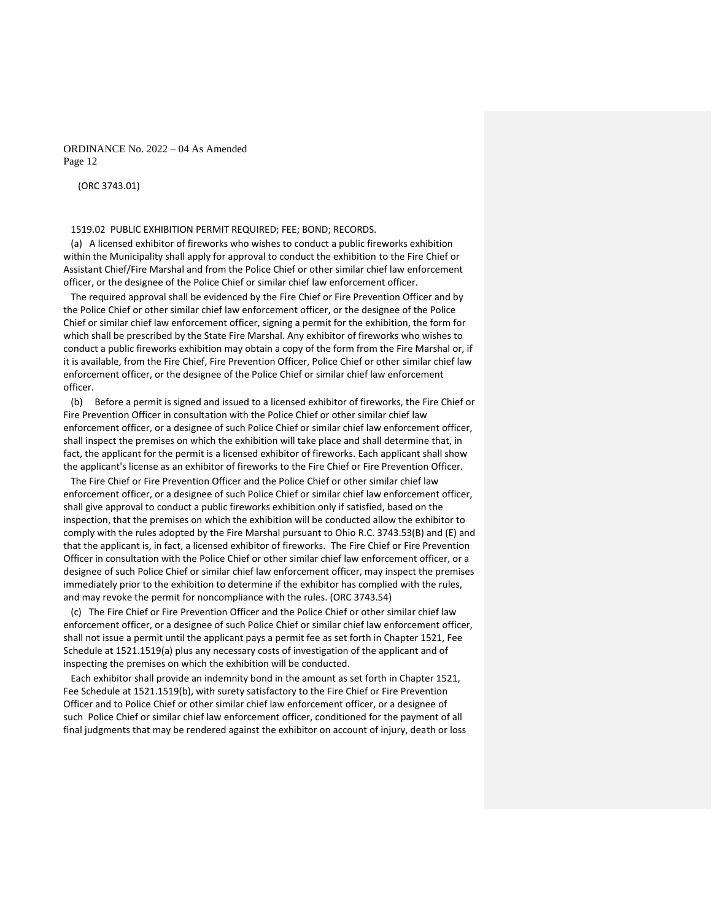(ORC 3743.01)

#### 1519.02 PUBLIC EXHIBITION PERMIT REQUIRED; FEE; BOND; RECORDS.

 (a) A licensed exhibitor of fireworks who wishes to conduct a public fireworks exhibition within the Municipality shall apply for approval to conduct the exhibition to the Fire Chief or Assistant Chief/Fire Marshal and from the Police Chief or other similar chief law enforcement officer, or the designee of the Police Chief or similar chief law enforcement officer.

 The required approval shall be evidenced by the Fire Chief or Fire Prevention Officer and by the Police Chief or other similar chief law enforcement officer, or the designee of the Police Chief or similar chief law enforcement officer, signing a permit for the exhibition, the form for which shall be prescribed by the State Fire Marshal. Any exhibitor of fireworks who wishes to conduct a public fireworks exhibition may obtain a copy of the form from the Fire Marshal or, if it is available, from the Fire Chief, Fire Prevention Officer, Police Chief or other similar chief law enforcement officer, or the designee of the Police Chief or similar chief law enforcement officer.

 (b) Before a permit is signed and issued to a licensed exhibitor of fireworks, the Fire Chief or Fire Prevention Officer in consultation with the Police Chief or other similar chief law enforcement officer, or a designee of such Police Chief or similar chief law enforcement officer, shall inspect the premises on which the exhibition will take place and shall determine that, in fact, the applicant for the permit is a licensed exhibitor of fireworks. Each applicant shall show the applicant's license as an exhibitor of fireworks to the Fire Chief or Fire Prevention Officer.

 The Fire Chief or Fire Prevention Officer and the Police Chief or other similar chief law enforcement officer, or a designee of such Police Chief or similar chief law enforcement officer, shall give approval to conduct a public fireworks exhibition only if satisfied, based on the inspection, that the premises on which the exhibition will be conducted allow the exhibitor to comply with the rules adopted by the Fire Marshal pursuant to Ohio R.C. 3743.53(B) and (E) and that the applicant is, in fact, a licensed exhibitor of fireworks. The Fire Chief or Fire Prevention Officer in consultation with the Police Chief or other similar chief law enforcement officer, or a designee of such Police Chief or similar chief law enforcement officer, may inspect the premises immediately prior to the exhibition to determine if the exhibitor has complied with the rules, and may revoke the permit for noncompliance with the rules. (ORC 3743.54)

 (c) The Fire Chief or Fire Prevention Officer and the Police Chief or other similar chief law enforcement officer, or a designee of such Police Chief or similar chief law enforcement officer, shall not issue a permit until the applicant pays a permit fee as set forth in Chapter 1521, Fee Schedule at 1521.1519(a) plus any necessary costs of investigation of the applicant and of inspecting the premises on which the exhibition will be conducted.

 Each exhibitor shall provide an indemnity bond in the amount as set forth in Chapter 1521, Fee Schedule at 1521.1519(b), with surety satisfactory to the Fire Chief or Fire Prevention Officer and to Police Chief or other similar chief law enforcement officer, or a designee of such Police Chief or similar chief law enforcement officer, conditioned for the payment of all final judgments that may be rendered against the exhibitor on account of injury, death or loss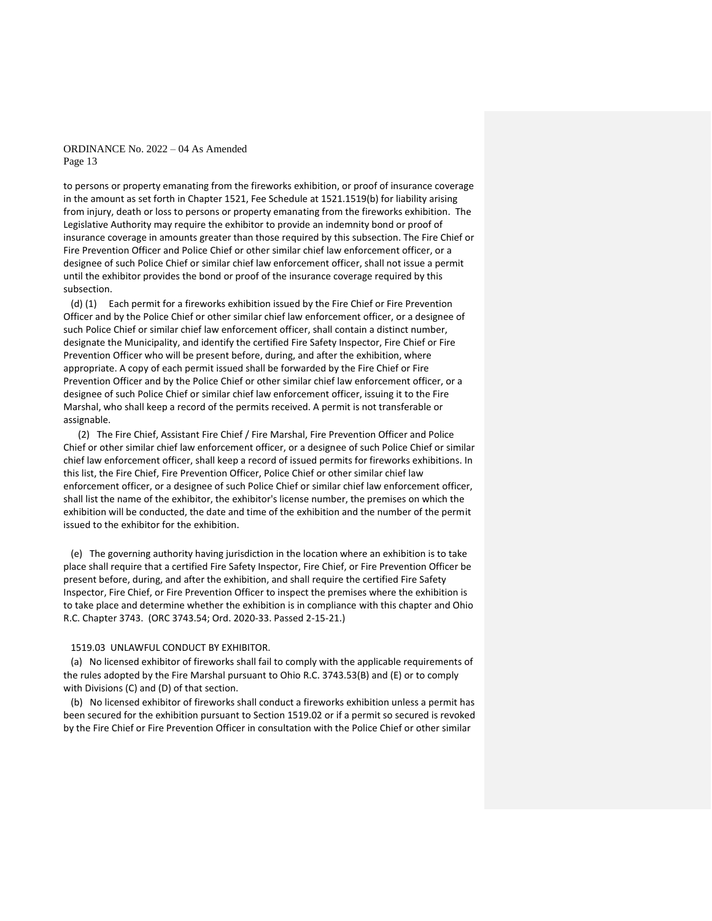to persons or property emanating from the fireworks exhibition, or proof of insurance coverage in the amount as set forth in Chapter 1521, Fee Schedule at 1521.1519(b) for liability arising from injury, death or loss to persons or property emanating from the fireworks exhibition. The Legislative Authority may require the exhibitor to provide an indemnity bond or proof of insurance coverage in amounts greater than those required by this subsection. The Fire Chief or Fire Prevention Officer and Police Chief or other similar chief law enforcement officer, or a designee of such Police Chief or similar chief law enforcement officer, shall not issue a permit until the exhibitor provides the bond or proof of the insurance coverage required by this subsection.

 (d) (1) Each permit for a fireworks exhibition issued by the Fire Chief or Fire Prevention Officer and by the Police Chief or other similar chief law enforcement officer, or a designee of such Police Chief or similar chief law enforcement officer, shall contain a distinct number, designate the Municipality, and identify the certified Fire Safety Inspector, Fire Chief or Fire Prevention Officer who will be present before, during, and after the exhibition, where appropriate. A copy of each permit issued shall be forwarded by the Fire Chief or Fire Prevention Officer and by the Police Chief or other similar chief law enforcement officer, or a designee of such Police Chief or similar chief law enforcement officer, issuing it to the Fire Marshal, who shall keep a record of the permits received. A permit is not transferable or assignable.

 (2) The Fire Chief, Assistant Fire Chief / Fire Marshal, Fire Prevention Officer and Police Chief or other similar chief law enforcement officer, or a designee of such Police Chief or similar chief law enforcement officer, shall keep a record of issued permits for fireworks exhibitions. In this list, the Fire Chief, Fire Prevention Officer, Police Chief or other similar chief law enforcement officer, or a designee of such Police Chief or similar chief law enforcement officer, shall list the name of the exhibitor, the exhibitor's license number, the premises on which the exhibition will be conducted, the date and time of the exhibition and the number of the permit issued to the exhibitor for the exhibition.

 (e) The governing authority having jurisdiction in the location where an exhibition is to take place shall require that a certified Fire Safety Inspector, Fire Chief, or Fire Prevention Officer be present before, during, and after the exhibition, and shall require the certified Fire Safety Inspector, Fire Chief, or Fire Prevention Officer to inspect the premises where the exhibition is to take place and determine whether the exhibition is in compliance with this chapter and Ohio R.C. Chapter 3743. (ORC 3743.54; Ord. 2020-33. Passed 2-15-21.)

#### 1519.03 UNLAWFUL CONDUCT BY EXHIBITOR.

 (a) No licensed exhibitor of fireworks shall fail to comply with the applicable requirements of the rules adopted by the Fire Marshal pursuant to Ohio R.C. 3743.53(B) and (E) or to comply with Divisions (C) and (D) of that section.

 (b) No licensed exhibitor of fireworks shall conduct a fireworks exhibition unless a permit has been secured for the exhibition pursuant to Section 1519.02 or if a permit so secured is revoked by the Fire Chief or Fire Prevention Officer in consultation with the Police Chief or other similar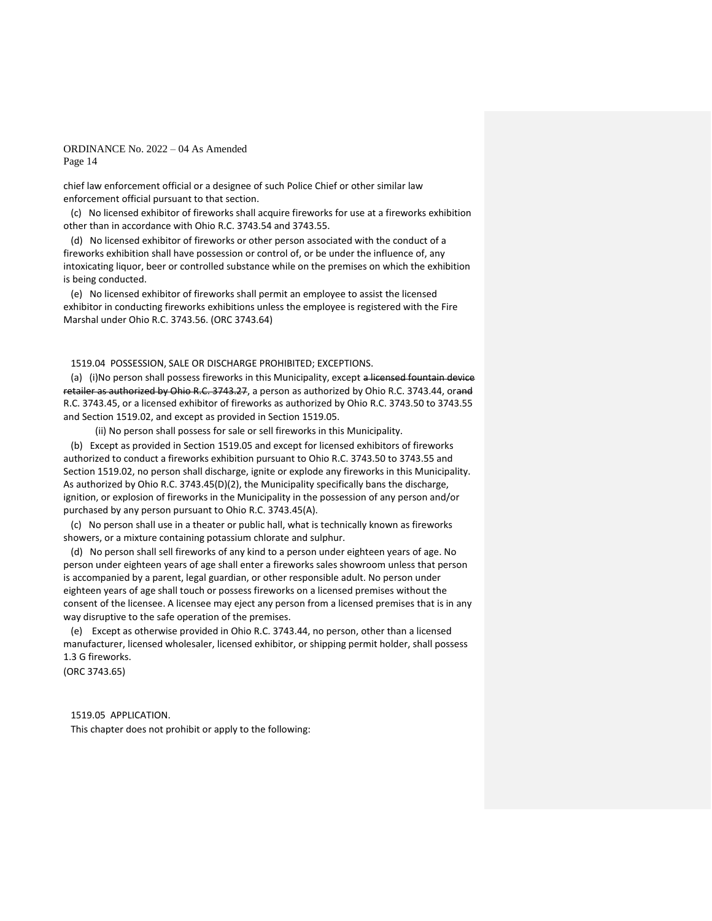chief law enforcement official or a designee of such Police Chief or other similar law enforcement official pursuant to that section.

 (c) No licensed exhibitor of fireworks shall acquire fireworks for use at a fireworks exhibition other than in accordance with Ohio R.C. 3743.54 and 3743.55.

 (d) No licensed exhibitor of fireworks or other person associated with the conduct of a fireworks exhibition shall have possession or control of, or be under the influence of, any intoxicating liquor, beer or controlled substance while on the premises on which the exhibition is being conducted.

 (e) No licensed exhibitor of fireworks shall permit an employee to assist the licensed exhibitor in conducting fireworks exhibitions unless the employee is registered with the Fire Marshal under Ohio R.C. 3743.56. (ORC 3743.64)

### 1519.04 POSSESSION, SALE OR DISCHARGE PROHIBITED; EXCEPTIONS.

(a) (i)No person shall possess fireworks in this Municipality, except a licensed fountain device retailer as authorized by Ohio R.C. 3743.27, a person as authorized by Ohio R.C. 3743.44, orand R.C. 3743.45, or a licensed exhibitor of fireworks as authorized by Ohio R.C. 3743.50 to 3743.55 and Section 1519.02, and except as provided in Section 1519.05.

(ii) No person shall possess for sale or sell fireworks in this Municipality.

 (b) Except as provided in Section 1519.05 and except for licensed exhibitors of fireworks authorized to conduct a fireworks exhibition pursuant to Ohio R.C. 3743.50 to 3743.55 and Section 1519.02, no person shall discharge, ignite or explode any fireworks in this Municipality. As authorized by Ohio R.C. 3743.45(D)(2), the Municipality specifically bans the discharge, ignition, or explosion of fireworks in the Municipality in the possession of any person and/or purchased by any person pursuant to Ohio R.C. 3743.45(A).

 (c) No person shall use in a theater or public hall, what is technically known as fireworks showers, or a mixture containing potassium chlorate and sulphur.

 (d) No person shall sell fireworks of any kind to a person under eighteen years of age. No person under eighteen years of age shall enter a fireworks sales showroom unless that person is accompanied by a parent, legal guardian, or other responsible adult. No person under eighteen years of age shall touch or possess fireworks on a licensed premises without the consent of the licensee. A licensee may eject any person from a licensed premises that is in any way disruptive to the safe operation of the premises.

 (e) Except as otherwise provided in Ohio R.C. 3743.44, no person, other than a licensed manufacturer, licensed wholesaler, licensed exhibitor, or shipping permit holder, shall possess 1.3 G fireworks.

(ORC 3743.65)

1519.05 APPLICATION.

This chapter does not prohibit or apply to the following: